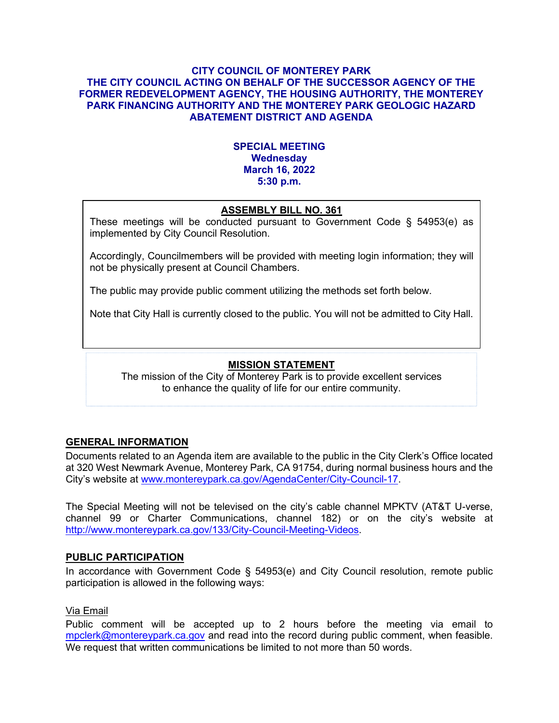#### **CITY COUNCIL OF MONTEREY PARK THE CITY COUNCIL ACTING ON BEHALF OF THE SUCCESSOR AGENCY OF THE FORMER REDEVELOPMENT AGENCY, THE HOUSING AUTHORITY, THE MONTEREY PARK FINANCING AUTHORITY AND THE MONTEREY PARK GEOLOGIC HAZARD ABATEMENT DISTRICT AND AGENDA**

## **SPECIAL MEETING Wednesday March 16, 2022 5:30 p.m.**

# **ASSEMBLY BILL NO. 361**

These meetings will be conducted pursuant to Government Code § 54953(e) as implemented by City Council Resolution.

Accordingly, Councilmembers will be provided with meeting login information; they will not be physically present at Council Chambers.

The public may provide public comment utilizing the methods set forth below.

Note that City Hall is currently closed to the public. You will not be admitted to City Hall.

## **MISSION STATEMENT**

The mission of the City of Monterey Park is to provide excellent services to enhance the quality of life for our entire community.

## **GENERAL INFORMATION**

Documents related to an Agenda item are available to the public in the City Clerk's Office located at 320 West Newmark Avenue, Monterey Park, CA 91754, during normal business hours and the City's website at [www.montereypark.ca.gov/AgendaCenter/City-Council-17.](http://www.montereypark.ca.gov/AgendaCenter/City-Council-17)

The Special Meeting will not be televised on the city's cable channel MPKTV (AT&T U-verse, channel 99 or Charter Communications, channel 182) or on the city's website at [http://www.montereypark.ca.gov/133/City-Council-Meeting-Videos.](http://www.montereypark.ca.gov/133/City-Council-Meeting-Videos)

## **PUBLIC PARTICIPATION**

In accordance with Government Code § 54953(e) and City Council resolution, remote public participation is allowed in the following ways:

#### Via Email

Public comment will be accepted up to 2 hours before the meeting via email to [mpclerk@montereypark.ca.gov](mailto:mpclerk@montereypark.ca.gov) and read into the record during public comment, when feasible. We request that written communications be limited to not more than 50 words.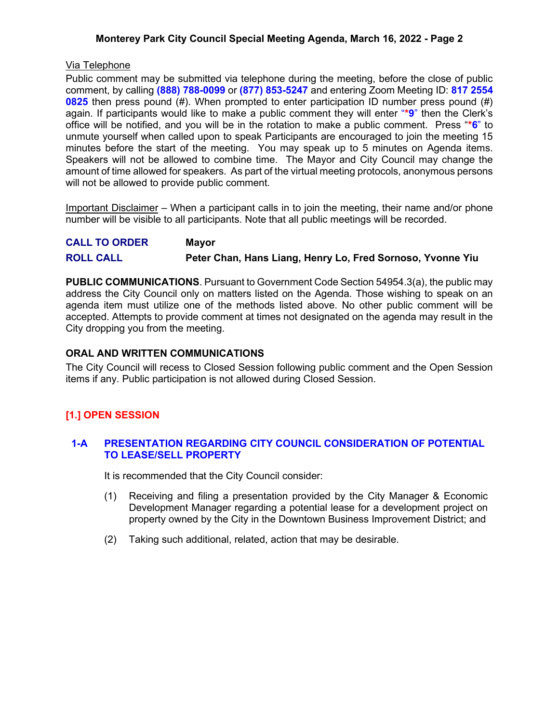## **Monterey Park City Council Special Meeting Agenda, March 16, 2022 - Page 2**

#### Via Telephone

Public comment may be submitted via telephone during the meeting, before the close of public comment, by calling **(888) 788-0099** or **(877) 853-5247** and entering Zoom Meeting ID: **817 2554 0825** then press pound (#). When prompted to enter participation ID number press pound (#) again. If participants would like to make a public comment they will enter "**\*9**" then the Clerk's office will be notified, and you will be in the rotation to make a public comment. Press "**\*6**" to unmute yourself when called upon to speak Participants are encouraged to join the meeting 15 minutes before the start of the meeting. You may speak up to 5 minutes on Agenda items. Speakers will not be allowed to combine time. The Mayor and City Council may change the amount of time allowed for speakers. As part of the virtual meeting protocols, anonymous persons will not be allowed to provide public comment.

Important Disclaimer – When a participant calls in to join the meeting, their name and/or phone number will be visible to all participants. Note that all public meetings will be recorded.

| <b>CALL TO ORDER</b> | <b>Mayor</b>                                               |
|----------------------|------------------------------------------------------------|
| <b>ROLL CALL</b>     | Peter Chan, Hans Liang, Henry Lo, Fred Sornoso, Yvonne Yiu |

**PUBLIC COMMUNICATIONS**. Pursuant to Government Code Section 54954.3(a), the public may address the City Council only on matters listed on the Agenda. Those wishing to speak on an agenda item must utilize one of the methods listed above. No other public comment will be accepted. Attempts to provide comment at times not designated on the agenda may result in the City dropping you from the meeting.

#### **ORAL AND WRITTEN COMMUNICATIONS**

The City Council will recess to Closed Session following public comment and the Open Session items if any. Public participation is not allowed during Closed Session.

## **[1.] OPEN SESSION**

#### **1-A PRESENTATION REGARDING CITY COUNCIL CONSIDERATION OF POTENTIAL TO LEASE/SELL PROPERTY**

It is recommended that the City Council consider:

- (1) Receiving and filing a presentation provided by the City Manager & Economic Development Manager regarding a potential lease for a development project on property owned by the City in the Downtown Business Improvement District; and
- (2) Taking such additional, related, action that may be desirable.